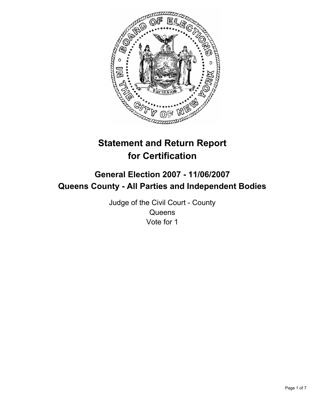

# **Statement and Return Report for Certification**

# **General Election 2007 - 11/06/2007 Queens County - All Parties and Independent Bodies**

Judge of the Civil Court - County **Queens** Vote for 1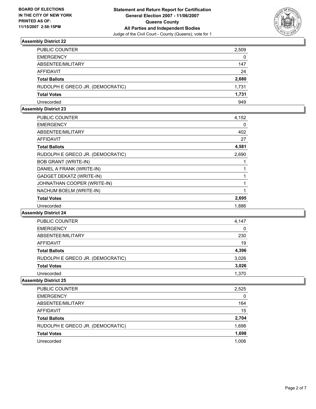

| PUBLIC COUNTER                   | 2,509 |
|----------------------------------|-------|
| <b>EMERGENCY</b>                 | 0     |
| ABSENTEE/MILITARY                | 147   |
| AFFIDAVIT                        | 24    |
| Total Ballots                    | 2,680 |
| RUDOLPH E GRECO JR. (DEMOCRATIC) | 1,731 |
| Total Votes                      | 1,731 |
| Unrecorded                       | 949   |

## **Assembly District 23**

| <b>PUBLIC COUNTER</b>            | 4,152 |  |
|----------------------------------|-------|--|
| <b>EMERGENCY</b>                 | 0     |  |
| ABSENTEE/MILITARY                | 402   |  |
| AFFIDAVIT                        | 27    |  |
| <b>Total Ballots</b>             | 4,581 |  |
| RUDOLPH E GRECO JR. (DEMOCRATIC) | 2,690 |  |
| <b>BOB GRANT (WRITE-IN)</b>      |       |  |
| DANIEL A FRANK (WRITE-IN)        |       |  |
| GADGET DEKATZ (WRITE-IN)         |       |  |
| JOHNATHAN COOPER (WRITE-IN)      |       |  |
| NACHUM BOELM (WRITE-IN)          |       |  |
| <b>Total Votes</b>               | 2,695 |  |
| Unrecorded                       | 1,886 |  |

### **Assembly District 24**

| PUBLIC COUNTER                   | 4,147 |
|----------------------------------|-------|
| <b>EMERGENCY</b>                 | 0     |
| ABSENTEE/MILITARY                | 230   |
| AFFIDAVIT                        | 19    |
| <b>Total Ballots</b>             | 4,396 |
| RUDOLPH E GRECO JR. (DEMOCRATIC) | 3,026 |
| <b>Total Votes</b>               | 3,026 |
| Unrecorded                       | 1,370 |

| PUBLIC COUNTER                   | 2,525 |
|----------------------------------|-------|
| <b>EMERGENCY</b>                 | 0     |
| ABSENTEE/MILITARY                | 164   |
| <b>AFFIDAVIT</b>                 | 15    |
| <b>Total Ballots</b>             | 2,704 |
| RUDOLPH E GRECO JR. (DEMOCRATIC) | 1,698 |
| <b>Total Votes</b>               | 1,698 |
| Unrecorded                       | 1,006 |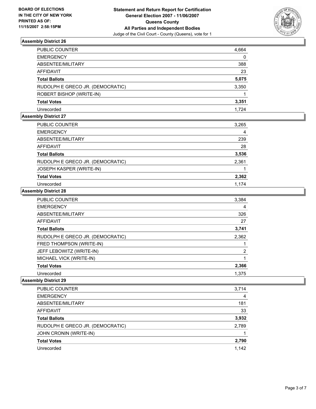

| PUBLIC COUNTER                   | 4,664 |
|----------------------------------|-------|
| EMERGENCY                        | 0     |
| ABSENTEE/MILITARY                | 388   |
| AFFIDAVIT                        | 23    |
| Total Ballots                    | 5,075 |
| RUDOLPH E GRECO JR. (DEMOCRATIC) | 3,350 |
| ROBERT BISHOP (WRITE-IN)         |       |
| Total Votes                      | 3,351 |
| Unrecorded                       | 1.724 |

# **Assembly District 27**

| <b>PUBLIC COUNTER</b>            | 3,265 |
|----------------------------------|-------|
| <b>EMERGENCY</b>                 | 4     |
| ABSENTEE/MILITARY                | 239   |
| <b>AFFIDAVIT</b>                 | 28    |
| <b>Total Ballots</b>             | 3,536 |
| RUDOLPH E GRECO JR. (DEMOCRATIC) | 2,361 |
| JOSEPH KASPER (WRITE-IN)         |       |
| <b>Total Votes</b>               | 2,362 |
| Unrecorded                       | 1.174 |

### **Assembly District 28**

| <b>PUBLIC COUNTER</b>            | 3,384 |
|----------------------------------|-------|
| <b>EMERGENCY</b>                 | 4     |
| ABSENTEE/MILITARY                | 326   |
| AFFIDAVIT                        | 27    |
| <b>Total Ballots</b>             | 3,741 |
| RUDOLPH E GRECO JR. (DEMOCRATIC) | 2,362 |
| FRED THOMPSON (WRITE-IN)         |       |
| JEFF LEBOWITZ (WRITE-IN)         | 2     |
| MICHAEL VICK (WRITE-IN)          |       |
| <b>Total Votes</b>               | 2,366 |
| Unrecorded                       | 1.375 |

| PUBLIC COUNTER                   | 3,714 |
|----------------------------------|-------|
| <b>EMERGENCY</b>                 | 4     |
| ABSENTEE/MILITARY                | 181   |
| <b>AFFIDAVIT</b>                 | 33    |
| <b>Total Ballots</b>             | 3,932 |
| RUDOLPH E GRECO JR. (DEMOCRATIC) | 2,789 |
| JOHN CRONIN (WRITE-IN)           |       |
| <b>Total Votes</b>               | 2,790 |
| Unrecorded                       | 1,142 |
|                                  |       |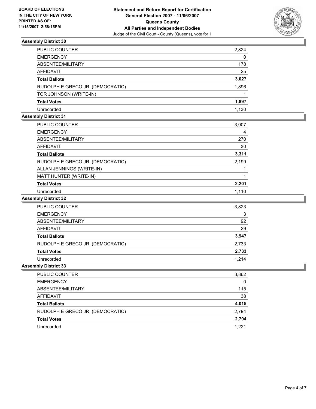

| PUBLIC COUNTER                   | 2,824 |
|----------------------------------|-------|
| <b>EMERGENCY</b>                 | 0     |
| ABSENTEE/MILITARY                | 178   |
| AFFIDAVIT                        | 25    |
| <b>Total Ballots</b>             | 3,027 |
| RUDOLPH E GRECO JR. (DEMOCRATIC) | 1,896 |
| TOR JOHNSON (WRITE-IN)           |       |
| <b>Total Votes</b>               | 1,897 |
| Unrecorded                       | 1.130 |

# **Assembly District 31**

| PUBLIC COUNTER                   | 3,007 |  |
|----------------------------------|-------|--|
| <b>EMERGENCY</b>                 | 4     |  |
| ABSENTEE/MILITARY                | 270   |  |
| <b>AFFIDAVIT</b>                 | 30    |  |
| <b>Total Ballots</b>             | 3,311 |  |
| RUDOLPH E GRECO JR. (DEMOCRATIC) | 2,199 |  |
| ALLAN JENNINGS (WRITE-IN)        |       |  |
| MATT HUNTER (WRITE-IN)           |       |  |
| <b>Total Votes</b>               | 2,201 |  |
| Unrecorded                       | 1,110 |  |

# **Assembly District 32**

| <b>PUBLIC COUNTER</b>            | 3,823 |
|----------------------------------|-------|
| <b>EMERGENCY</b>                 | 3     |
| ABSENTEE/MILITARY                | 92    |
| <b>AFFIDAVIT</b>                 | 29    |
| <b>Total Ballots</b>             | 3,947 |
| RUDOLPH E GRECO JR. (DEMOCRATIC) | 2,733 |
| <b>Total Votes</b>               | 2,733 |
| Unrecorded                       | 1.214 |

| <b>PUBLIC COUNTER</b>            | 3,862 |
|----------------------------------|-------|
| <b>EMERGENCY</b>                 | 0     |
| ABSENTEE/MILITARY                | 115   |
| AFFIDAVIT                        | 38    |
| <b>Total Ballots</b>             | 4,015 |
| RUDOLPH E GRECO JR. (DEMOCRATIC) | 2,794 |
| <b>Total Votes</b>               | 2,794 |
| Unrecorded                       | 1.221 |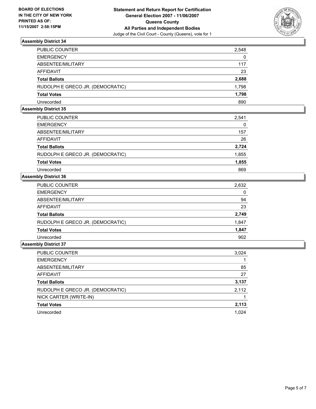

| PUBLIC COUNTER                   | 2,548 |
|----------------------------------|-------|
| <b>EMERGENCY</b>                 | 0     |
| ABSENTEE/MILITARY                | 117   |
| AFFIDAVIT                        | 23    |
| <b>Total Ballots</b>             | 2,688 |
| RUDOLPH E GRECO JR. (DEMOCRATIC) | 1,798 |
| <b>Total Votes</b>               | 1,798 |
| Unrecorded                       | 890   |

### **Assembly District 35**

| <b>PUBLIC COUNTER</b>            | 2,541 |
|----------------------------------|-------|
| <b>EMERGENCY</b>                 | 0     |
| ABSENTEE/MILITARY                | 157   |
| AFFIDAVIT                        | 26    |
| <b>Total Ballots</b>             | 2,724 |
| RUDOLPH E GRECO JR. (DEMOCRATIC) | 1,855 |
| <b>Total Votes</b>               | 1,855 |
| Unrecorded                       | 869   |

# **Assembly District 36**

| PUBLIC COUNTER                   | 2,632 |
|----------------------------------|-------|
| <b>EMERGENCY</b>                 | 0     |
| ABSENTEE/MILITARY                | 94    |
| AFFIDAVIT                        | 23    |
| <b>Total Ballots</b>             | 2,749 |
| RUDOLPH E GRECO JR. (DEMOCRATIC) | 1,847 |
| <b>Total Votes</b>               | 1,847 |
| Unrecorded                       | 902   |

| PUBLIC COUNTER                   | 3,024 |
|----------------------------------|-------|
| <b>EMERGENCY</b>                 |       |
| ABSENTEE/MILITARY                | 85    |
| AFFIDAVIT                        | 27    |
| <b>Total Ballots</b>             | 3,137 |
| RUDOLPH E GRECO JR. (DEMOCRATIC) | 2,112 |
| NICK CARTER (WRITE-IN)           |       |
| <b>Total Votes</b>               | 2,113 |
| Unrecorded                       | 1,024 |
|                                  |       |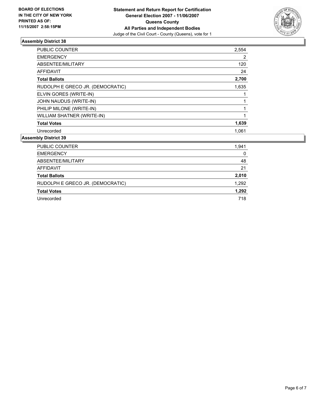

| PUBLIC COUNTER                   | 2,554 |
|----------------------------------|-------|
| <b>EMERGENCY</b>                 | 2     |
| ABSENTEE/MILITARY                | 120   |
| AFFIDAVIT                        | 24    |
| <b>Total Ballots</b>             | 2,700 |
| RUDOLPH E GRECO JR. (DEMOCRATIC) | 1,635 |
| ELVIN GORES (WRITE-IN)           |       |
| JOHN NAUDUS (WRITE-IN)           |       |
| PHILIP MILONE (WRITE-IN)         |       |
| WILLIAM SHATNER (WRITE-IN)       |       |
| <b>Total Votes</b>               | 1,639 |
| Unrecorded                       | 1.061 |

| <b>PUBLIC COUNTER</b>            | 1,941 |
|----------------------------------|-------|
| <b>EMERGENCY</b>                 | 0     |
| ABSENTEE/MILITARY                | 48    |
| AFFIDAVIT                        | 21    |
| <b>Total Ballots</b>             | 2,010 |
| RUDOLPH E GRECO JR. (DEMOCRATIC) | 1,292 |
| <b>Total Votes</b>               | 1,292 |
| Unrecorded                       | 718   |